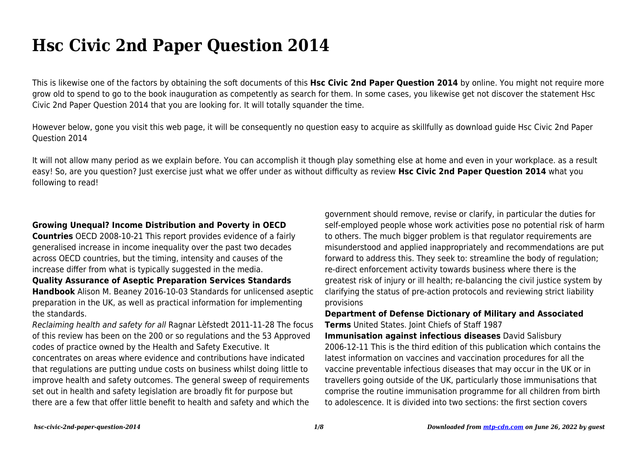# **Hsc Civic 2nd Paper Question 2014**

This is likewise one of the factors by obtaining the soft documents of this **Hsc Civic 2nd Paper Question 2014** by online. You might not require more grow old to spend to go to the book inauguration as competently as search for them. In some cases, you likewise get not discover the statement Hsc Civic 2nd Paper Question 2014 that you are looking for. It will totally squander the time.

However below, gone you visit this web page, it will be consequently no question easy to acquire as skillfully as download guide Hsc Civic 2nd Paper Question 2014

It will not allow many period as we explain before. You can accomplish it though play something else at home and even in your workplace. as a result easy! So, are you question? Just exercise just what we offer under as without difficulty as review **Hsc Civic 2nd Paper Question 2014** what you following to read!

### **Growing Unequal? Income Distribution and Poverty in OECD**

**Countries** OECD 2008-10-21 This report provides evidence of a fairly generalised increase in income inequality over the past two decades across OECD countries, but the timing, intensity and causes of the increase differ from what is typically suggested in the media.

#### **Quality Assurance of Aseptic Preparation Services Standards**

**Handbook** Alison M. Beaney 2016-10-03 Standards for unlicensed aseptic preparation in the UK, as well as practical information for implementing the standards.

Reclaiming health and safety for all Ragnar Lèfstedt 2011-11-28 The focus of this review has been on the 200 or so regulations and the 53 Approved codes of practice owned by the Health and Safety Executive. It concentrates on areas where evidence and contributions have indicated that regulations are putting undue costs on business whilst doing little to improve health and safety outcomes. The general sweep of requirements set out in health and safety legislation are broadly fit for purpose but there are a few that offer little benefit to health and safety and which the

government should remove, revise or clarify, in particular the duties for self-employed people whose work activities pose no potential risk of harm to others. The much bigger problem is that regulator requirements are misunderstood and applied inappropriately and recommendations are put forward to address this. They seek to: streamline the body of regulation; re-direct enforcement activity towards business where there is the greatest risk of injury or ill health; re-balancing the civil justice system by clarifying the status of pre-action protocols and reviewing strict liability provisions

## **Department of Defense Dictionary of Military and Associated Terms** United States. Joint Chiefs of Staff 1987

**Immunisation against infectious diseases** David Salisbury 2006-12-11 This is the third edition of this publication which contains the latest information on vaccines and vaccination procedures for all the vaccine preventable infectious diseases that may occur in the UK or in travellers going outside of the UK, particularly those immunisations that comprise the routine immunisation programme for all children from birth to adolescence. It is divided into two sections: the first section covers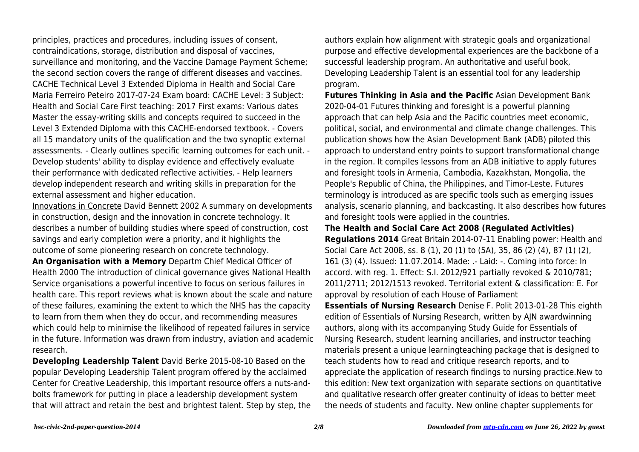principles, practices and procedures, including issues of consent, contraindications, storage, distribution and disposal of vaccines, surveillance and monitoring, and the Vaccine Damage Payment Scheme; the second section covers the range of different diseases and vaccines. CACHE Technical Level 3 Extended Diploma in Health and Social Care Maria Ferreiro Peteiro 2017-07-24 Exam board: CACHE Level: 3 Subject: Health and Social Care First teaching: 2017 First exams: Various dates Master the essay-writing skills and concepts required to succeed in the Level 3 Extended Diploma with this CACHE-endorsed textbook. - Covers all 15 mandatory units of the qualification and the two synoptic external assessments. - Clearly outlines specific learning outcomes for each unit. - Develop students' ability to display evidence and effectively evaluate their performance with dedicated reflective activities. - Help learners develop independent research and writing skills in preparation for the external assessment and higher education.

Innovations in Concrete David Bennett 2002 A summary on developments in construction, design and the innovation in concrete technology. It describes a number of building studies where speed of construction, cost savings and early completion were a priority, and it highlights the outcome of some pioneering research on concrete technology.

**An Organisation with a Memory** Departm Chief Medical Officer of Health 2000 The introduction of clinical governance gives National Health Service organisations a powerful incentive to focus on serious failures in health care. This report reviews what is known about the scale and nature of these failures, examining the extent to which the NHS has the capacity to learn from them when they do occur, and recommending measures which could help to minimise the likelihood of repeated failures in service in the future. Information was drawn from industry, aviation and academic research.

**Developing Leadership Talent** David Berke 2015-08-10 Based on the popular Developing Leadership Talent program offered by the acclaimed Center for Creative Leadership, this important resource offers a nuts-andbolts framework for putting in place a leadership development system that will attract and retain the best and brightest talent. Step by step, the authors explain how alignment with strategic goals and organizational purpose and effective developmental experiences are the backbone of a successful leadership program. An authoritative and useful book, Developing Leadership Talent is an essential tool for any leadership program.

**Futures Thinking in Asia and the Pacific** Asian Development Bank 2020-04-01 Futures thinking and foresight is a powerful planning approach that can help Asia and the Pacific countries meet economic, political, social, and environmental and climate change challenges. This publication shows how the Asian Development Bank (ADB) piloted this approach to understand entry points to support transformational change in the region. It compiles lessons from an ADB initiative to apply futures and foresight tools in Armenia, Cambodia, Kazakhstan, Mongolia, the People's Republic of China, the Philippines, and Timor-Leste. Futures terminology is introduced as are specific tools such as emerging issues analysis, scenario planning, and backcasting. It also describes how futures and foresight tools were applied in the countries.

**The Health and Social Care Act 2008 (Regulated Activities) Regulations 2014** Great Britain 2014-07-11 Enabling power: Health and Social Care Act 2008, ss. 8 (1), 20 (1) to (5A), 35, 86 (2) (4), 87 (1) (2), 161 (3) (4). Issued: 11.07.2014. Made: .- Laid: -. Coming into force: In accord. with reg. 1. Effect: S.I. 2012/921 partially revoked & 2010/781; 2011/2711; 2012/1513 revoked. Territorial extent & classification: E. For approval by resolution of each House of Parliament

**Essentials of Nursing Research** Denise F. Polit 2013-01-28 This eighth edition of Essentials of Nursing Research, written by AJN awardwinning authors, along with its accompanying Study Guide for Essentials of Nursing Research, student learning ancillaries, and instructor teaching materials present a unique learningteaching package that is designed to teach students how to read and critique research reports, and to appreciate the application of research findings to nursing practice.New to this edition: New text organization with separate sections on quantitative and qualitative research offer greater continuity of ideas to better meet the needs of students and faculty. New online chapter supplements for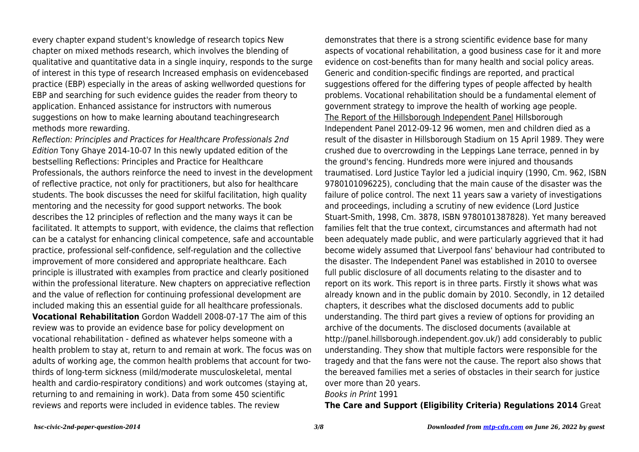every chapter expand student's knowledge of research topics New chapter on mixed methods research, which involves the blending of qualitative and quantitative data in a single inquiry, responds to the surge of interest in this type of research Increased emphasis on evidencebased practice (EBP) especially in the areas of asking wellworded questions for EBP and searching for such evidence guides the reader from theory to application. Enhanced assistance for instructors with numerous suggestions on how to make learning aboutand teachingresearch methods more rewarding.

Reflection: Principles and Practices for Healthcare Professionals 2nd Edition Tony Ghaye 2014-10-07 In this newly updated edition of the bestselling Reflections: Principles and Practice for Healthcare Professionals, the authors reinforce the need to invest in the development of reflective practice, not only for practitioners, but also for healthcare students. The book discusses the need for skilful facilitation, high quality mentoring and the necessity for good support networks. The book describes the 12 principles of reflection and the many ways it can be facilitated. It attempts to support, with evidence, the claims that reflection can be a catalyst for enhancing clinical competence, safe and accountable practice, professional self-confidence, self-regulation and the collective improvement of more considered and appropriate healthcare. Each principle is illustrated with examples from practice and clearly positioned within the professional literature. New chapters on appreciative reflection and the value of reflection for continuing professional development are included making this an essential guide for all healthcare professionals. **Vocational Rehabilitation** Gordon Waddell 2008-07-17 The aim of this review was to provide an evidence base for policy development on vocational rehabilitation - defined as whatever helps someone with a health problem to stay at, return to and remain at work. The focus was on adults of working age, the common health problems that account for twothirds of long-term sickness (mild/moderate musculoskeletal, mental health and cardio-respiratory conditions) and work outcomes (staying at, returning to and remaining in work). Data from some 450 scientific reviews and reports were included in evidence tables. The review

demonstrates that there is a strong scientific evidence base for many aspects of vocational rehabilitation, a good business case for it and more evidence on cost-benefits than for many health and social policy areas. Generic and condition-specific findings are reported, and practical suggestions offered for the differing types of people affected by health problems. Vocational rehabilitation should be a fundamental element of government strategy to improve the health of working age people. The Report of the Hillsborough Independent Panel Hillsborough Independent Panel 2012-09-12 96 women, men and children died as a result of the disaster in Hillsborough Stadium on 15 April 1989. They were crushed due to overcrowding in the Leppings Lane terrace, penned in by the ground's fencing. Hundreds more were injured and thousands traumatised. Lord Justice Taylor led a judicial inquiry (1990, Cm. 962, ISBN 9780101096225), concluding that the main cause of the disaster was the failure of police control. The next 11 years saw a variety of investigations and proceedings, including a scrutiny of new evidence (Lord Justice Stuart-Smith, 1998, Cm. 3878, ISBN 9780101387828). Yet many bereaved families felt that the true context, circumstances and aftermath had not been adequately made public, and were particularly aggrieved that it had become widely assumed that Liverpool fans' behaviour had contributed to the disaster. The Independent Panel was established in 2010 to oversee full public disclosure of all documents relating to the disaster and to report on its work. This report is in three parts. Firstly it shows what was already known and in the public domain by 2010. Secondly, in 12 detailed chapters, it describes what the disclosed documents add to public understanding. The third part gives a review of options for providing an archive of the documents. The disclosed documents (available at http://panel.hillsborough.independent.gov.uk/) add considerably to public understanding. They show that multiple factors were responsible for the tragedy and that the fans were not the cause. The report also shows that the bereaved families met a series of obstacles in their search for justice over more than 20 years.

#### Books in Print 1991

**The Care and Support (Eligibility Criteria) Regulations 2014** Great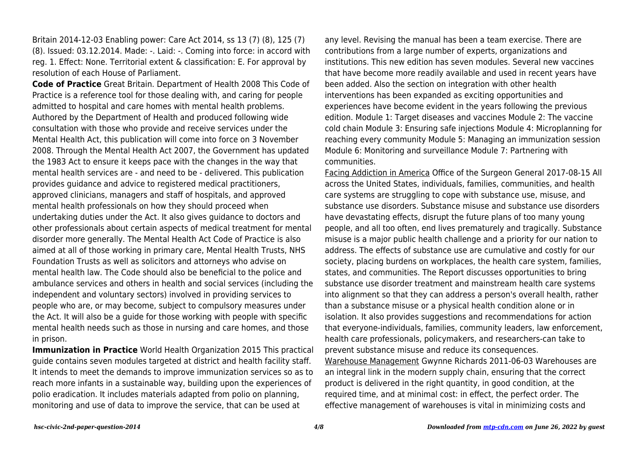Britain 2014-12-03 Enabling power: Care Act 2014, ss 13 (7) (8), 125 (7) (8). Issued: 03.12.2014. Made: -. Laid: -. Coming into force: in accord with reg. 1. Effect: None. Territorial extent & classification: E. For approval by resolution of each House of Parliament.

**Code of Practice** Great Britain. Department of Health 2008 This Code of Practice is a reference tool for those dealing with, and caring for people admitted to hospital and care homes with mental health problems. Authored by the Department of Health and produced following wide consultation with those who provide and receive services under the Mental Health Act, this publication will come into force on 3 November 2008. Through the Mental Health Act 2007, the Government has updated the 1983 Act to ensure it keeps pace with the changes in the way that mental health services are - and need to be - delivered. This publication provides guidance and advice to registered medical practitioners, approved clinicians, managers and staff of hospitals, and approved mental health professionals on how they should proceed when undertaking duties under the Act. It also gives guidance to doctors and other professionals about certain aspects of medical treatment for mental disorder more generally. The Mental Health Act Code of Practice is also aimed at all of those working in primary care, Mental Health Trusts, NHS Foundation Trusts as well as solicitors and attorneys who advise on mental health law. The Code should also be beneficial to the police and ambulance services and others in health and social services (including the independent and voluntary sectors) involved in providing services to people who are, or may become, subject to compulsory measures under the Act. It will also be a guide for those working with people with specific mental health needs such as those in nursing and care homes, and those in prison.

**Immunization in Practice** World Health Organization 2015 This practical guide contains seven modules targeted at district and health facility staff. It intends to meet the demands to improve immunization services so as to reach more infants in a sustainable way, building upon the experiences of polio eradication. It includes materials adapted from polio on planning, monitoring and use of data to improve the service, that can be used at

any level. Revising the manual has been a team exercise. There are contributions from a large number of experts, organizations and institutions. This new edition has seven modules. Several new vaccines that have become more readily available and used in recent years have been added. Also the section on integration with other health interventions has been expanded as exciting opportunities and experiences have become evident in the years following the previous edition. Module 1: Target diseases and vaccines Module 2: The vaccine cold chain Module 3: Ensuring safe injections Module 4: Microplanning for reaching every community Module 5: Managing an immunization session Module 6: Monitoring and surveillance Module 7: Partnering with communities.

Facing Addiction in America Office of the Surgeon General 2017-08-15 All across the United States, individuals, families, communities, and health care systems are struggling to cope with substance use, misuse, and substance use disorders. Substance misuse and substance use disorders have devastating effects, disrupt the future plans of too many young people, and all too often, end lives prematurely and tragically. Substance misuse is a major public health challenge and a priority for our nation to address. The effects of substance use are cumulative and costly for our society, placing burdens on workplaces, the health care system, families, states, and communities. The Report discusses opportunities to bring substance use disorder treatment and mainstream health care systems into alignment so that they can address a person's overall health, rather than a substance misuse or a physical health condition alone or in isolation. It also provides suggestions and recommendations for action that everyone-individuals, families, community leaders, law enforcement, health care professionals, policymakers, and researchers-can take to prevent substance misuse and reduce its consequences. Warehouse Management Gwynne Richards 2011-06-03 Warehouses are an integral link in the modern supply chain, ensuring that the correct product is delivered in the right quantity, in good condition, at the required time, and at minimal cost: in effect, the perfect order. The effective management of warehouses is vital in minimizing costs and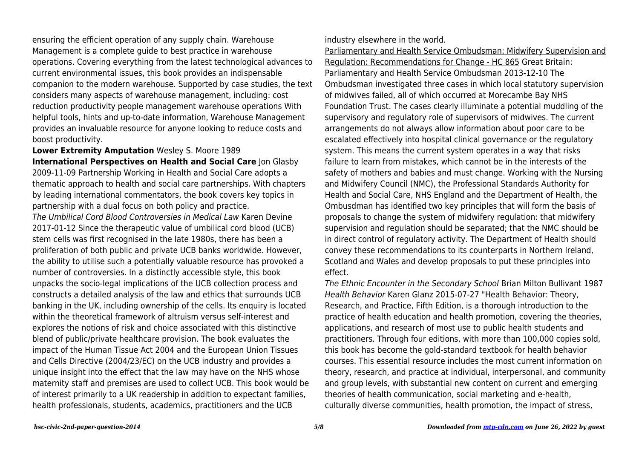ensuring the efficient operation of any supply chain. Warehouse Management is a complete guide to best practice in warehouse operations. Covering everything from the latest technological advances to current environmental issues, this book provides an indispensable companion to the modern warehouse. Supported by case studies, the text considers many aspects of warehouse management, including: cost reduction productivity people management warehouse operations With helpful tools, hints and up-to-date information, Warehouse Management provides an invaluable resource for anyone looking to reduce costs and boost productivity.

**Lower Extremity Amputation** Wesley S. Moore 1989 **International Perspectives on Health and Social Care Ion Glasby** 2009-11-09 Partnership Working in Health and Social Care adopts a thematic approach to health and social care partnerships. With chapters by leading international commentators, the book covers key topics in partnership with a dual focus on both policy and practice. The Umbilical Cord Blood Controversies in Medical Law Karen Devine 2017-01-12 Since the therapeutic value of umbilical cord blood (UCB) stem cells was first recognised in the late 1980s, there has been a proliferation of both public and private UCB banks worldwide. However, the ability to utilise such a potentially valuable resource has provoked a number of controversies. In a distinctly accessible style, this book unpacks the socio-legal implications of the UCB collection process and constructs a detailed analysis of the law and ethics that surrounds UCB banking in the UK, including ownership of the cells. Its enquiry is located within the theoretical framework of altruism versus self-interest and explores the notions of risk and choice associated with this distinctive blend of public/private healthcare provision. The book evaluates the impact of the Human Tissue Act 2004 and the European Union Tissues and Cells Directive (2004/23/EC) on the UCB industry and provides a unique insight into the effect that the law may have on the NHS whose maternity staff and premises are used to collect UCB. This book would be of interest primarily to a UK readership in addition to expectant families, health professionals, students, academics, practitioners and the UCB

industry elsewhere in the world.

Parliamentary and Health Service Ombudsman: Midwifery Supervision and Regulation: Recommendations for Change - HC 865 Great Britain: Parliamentary and Health Service Ombudsman 2013-12-10 The Ombudsman investigated three cases in which local statutory supervision of midwives failed, all of which occurred at Morecambe Bay NHS Foundation Trust. The cases clearly illuminate a potential muddling of the supervisory and regulatory role of supervisors of midwives. The current arrangements do not always allow information about poor care to be escalated effectively into hospital clinical governance or the regulatory system. This means the current system operates in a way that risks failure to learn from mistakes, which cannot be in the interests of the safety of mothers and babies and must change. Working with the Nursing and Midwifery Council (NMC), the Professional Standards Authority for Health and Social Care, NHS England and the Department of Health, the Ombusdman has identified two key principles that will form the basis of proposals to change the system of midwifery regulation: that midwifery supervision and regulation should be separated; that the NMC should be in direct control of regulatory activity. The Department of Health should convey these recommendations to its counterparts in Northern Ireland, Scotland and Wales and develop proposals to put these principles into effect.

The Ethnic Encounter in the Secondary School Brian Milton Bullivant 1987 Health Behavior Karen Glanz 2015-07-27 "Health Behavior: Theory, Research, and Practice, Fifth Edition, is a thorough introduction to the practice of health education and health promotion, covering the theories, applications, and research of most use to public health students and practitioners. Through four editions, with more than 100,000 copies sold, this book has become the gold-standard textbook for health behavior courses. This essential resource includes the most current information on theory, research, and practice at individual, interpersonal, and community and group levels, with substantial new content on current and emerging theories of health communication, social marketing and e-health, culturally diverse communities, health promotion, the impact of stress,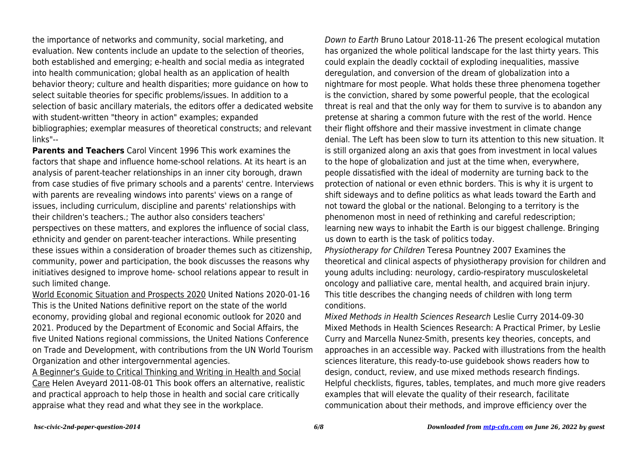the importance of networks and community, social marketing, and evaluation. New contents include an update to the selection of theories, both established and emerging; e-health and social media as integrated into health communication; global health as an application of health behavior theory; culture and health disparities; more guidance on how to select suitable theories for specific problems/issues. In addition to a selection of basic ancillary materials, the editors offer a dedicated website with student-written "theory in action" examples; expanded bibliographies; exemplar measures of theoretical constructs; and relevant links"--

**Parents and Teachers** Carol Vincent 1996 This work examines the factors that shape and influence home-school relations. At its heart is an analysis of parent-teacher relationships in an inner city borough, drawn from case studies of five primary schools and a parents' centre. Interviews with parents are revealing windows into parents' views on a range of issues, including curriculum, discipline and parents' relationships with their children's teachers.; The author also considers teachers' perspectives on these matters, and explores the influence of social class, ethnicity and gender on parent-teacher interactions. While presenting these issues within a consideration of broader themes such as citizenship, community, power and participation, the book discusses the reasons why initiatives designed to improve home- school relations appear to result in such limited change.

World Economic Situation and Prospects 2020 United Nations 2020-01-16 This is the United Nations definitive report on the state of the world economy, providing global and regional economic outlook for 2020 and 2021. Produced by the Department of Economic and Social Affairs, the five United Nations regional commissions, the United Nations Conference on Trade and Development, with contributions from the UN World Tourism Organization and other intergovernmental agencies.

A Beginner's Guide to Critical Thinking and Writing in Health and Social Care Helen Aveyard 2011-08-01 This book offers an alternative, realistic and practical approach to help those in health and social care critically appraise what they read and what they see in the workplace.

Down to Earth Bruno Latour 2018-11-26 The present ecological mutation has organized the whole political landscape for the last thirty years. This could explain the deadly cocktail of exploding inequalities, massive deregulation, and conversion of the dream of globalization into a nightmare for most people. What holds these three phenomena together is the conviction, shared by some powerful people, that the ecological threat is real and that the only way for them to survive is to abandon any pretense at sharing a common future with the rest of the world. Hence their flight offshore and their massive investment in climate change denial. The Left has been slow to turn its attention to this new situation. It is still organized along an axis that goes from investment in local values to the hope of globalization and just at the time when, everywhere, people dissatisfied with the ideal of modernity are turning back to the protection of national or even ethnic borders. This is why it is urgent to shift sideways and to define politics as what leads toward the Earth and not toward the global or the national. Belonging to a territory is the phenomenon most in need of rethinking and careful redescription; learning new ways to inhabit the Earth is our biggest challenge. Bringing us down to earth is the task of politics today.

Physiotherapy for Children Teresa Pountney 2007 Examines the theoretical and clinical aspects of physiotherapy provision for children and young adults including: neurology, cardio-respiratory musculoskeletal oncology and palliative care, mental health, and acquired brain injury. This title describes the changing needs of children with long term conditions.

Mixed Methods in Health Sciences Research Leslie Curry 2014-09-30 Mixed Methods in Health Sciences Research: A Practical Primer, by Leslie Curry and Marcella Nunez-Smith, presents key theories, concepts, and approaches in an accessible way. Packed with illustrations from the health sciences literature, this ready-to-use guidebook shows readers how to design, conduct, review, and use mixed methods research findings. Helpful checklists, figures, tables, templates, and much more give readers examples that will elevate the quality of their research, facilitate communication about their methods, and improve efficiency over the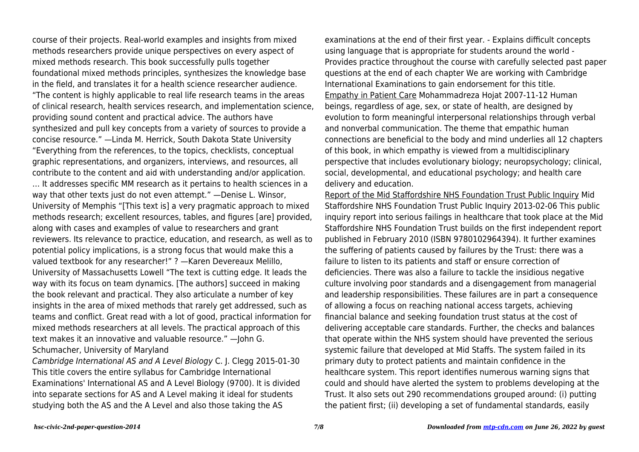course of their projects. Real-world examples and insights from mixed methods researchers provide unique perspectives on every aspect of mixed methods research. This book successfully pulls together foundational mixed methods principles, synthesizes the knowledge base in the field, and translates it for a health science researcher audience. "The content is highly applicable to real life research teams in the areas of clinical research, health services research, and implementation science, providing sound content and practical advice. The authors have synthesized and pull key concepts from a variety of sources to provide a concise resource." —Linda M. Herrick, South Dakota State University "Everything from the references, to the topics, checklists, conceptual graphic representations, and organizers, interviews, and resources, all contribute to the content and aid with understanding and/or application. … It addresses specific MM research as it pertains to health sciences in a way that other texts just do not even attempt." —Denise L. Winsor, University of Memphis "[This text is] a very pragmatic approach to mixed methods research; excellent resources, tables, and figures [are] provided, along with cases and examples of value to researchers and grant reviewers. Its relevance to practice, education, and research, as well as to potential policy implications, is a strong focus that would make this a valued textbook for any researcher!" ? —Karen Devereaux Melillo, University of Massachusetts Lowell "The text is cutting edge. It leads the way with its focus on team dynamics. [The authors] succeed in making the book relevant and practical. They also articulate a number of key insights in the area of mixed methods that rarely get addressed, such as teams and conflict. Great read with a lot of good, practical information for mixed methods researchers at all levels. The practical approach of this text makes it an innovative and valuable resource." —John G. Schumacher, University of Maryland

Cambridge International AS and A Level Biology C. J. Clegg 2015-01-30 This title covers the entire syllabus for Cambridge International Examinations' International AS and A Level Biology (9700). It is divided into separate sections for AS and A Level making it ideal for students studying both the AS and the A Level and also those taking the AS

examinations at the end of their first year. - Explains difficult concepts using language that is appropriate for students around the world - Provides practice throughout the course with carefully selected past paper questions at the end of each chapter We are working with Cambridge International Examinations to gain endorsement for this title. Empathy in Patient Care Mohammadreza Hojat 2007-11-12 Human beings, regardless of age, sex, or state of health, are designed by evolution to form meaningful interpersonal relationships through verbal and nonverbal communication. The theme that empathic human connections are beneficial to the body and mind underlies all 12 chapters of this book, in which empathy is viewed from a multidisciplinary perspective that includes evolutionary biology; neuropsychology; clinical, social, developmental, and educational psychology; and health care delivery and education.

Report of the Mid Staffordshire NHS Foundation Trust Public Inquiry Mid Staffordshire NHS Foundation Trust Public Inquiry 2013-02-06 This public inquiry report into serious failings in healthcare that took place at the Mid Staffordshire NHS Foundation Trust builds on the first independent report published in February 2010 (ISBN 9780102964394). It further examines the suffering of patients caused by failures by the Trust: there was a failure to listen to its patients and staff or ensure correction of deficiencies. There was also a failure to tackle the insidious negative culture involving poor standards and a disengagement from managerial and leadership responsibilities. These failures are in part a consequence of allowing a focus on reaching national access targets, achieving financial balance and seeking foundation trust status at the cost of delivering acceptable care standards. Further, the checks and balances that operate within the NHS system should have prevented the serious systemic failure that developed at Mid Staffs. The system failed in its primary duty to protect patients and maintain confidence in the healthcare system. This report identifies numerous warning signs that could and should have alerted the system to problems developing at the Trust. It also sets out 290 recommendations grouped around: (i) putting the patient first; (ii) developing a set of fundamental standards, easily